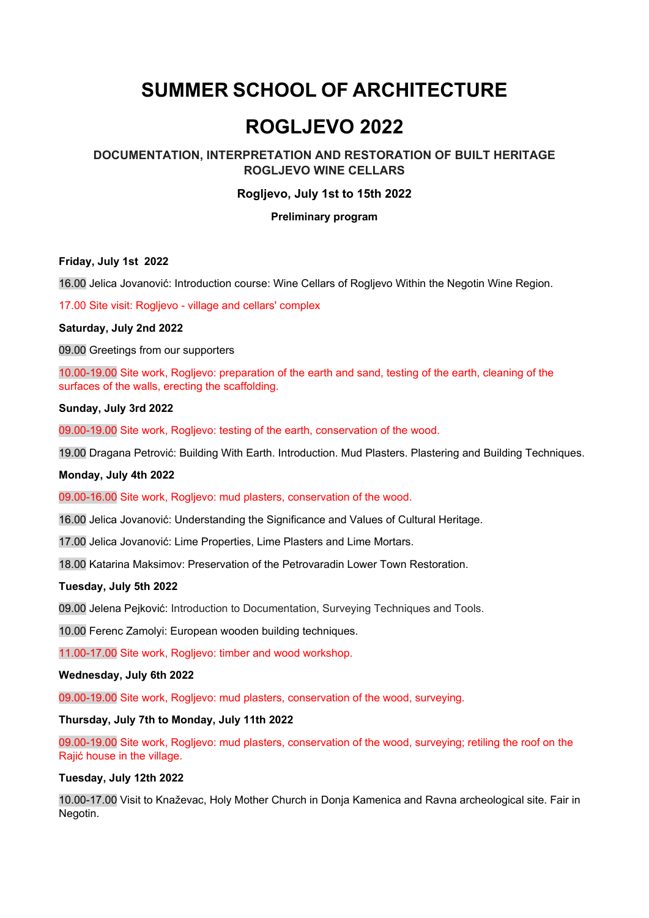# **SUMMER SCHOOL OF ARCHITECTURE**

# **ROGLJEVO 2022**

# **DOCUMENTATION, INTERPRETATION AND RESTORATION OF BUILT HERITAGE ROGLJEVO WINE CELLARS**

# **Rogljevo, July 1st to 15th 2022**

#### **Preliminary program**

#### **Friday, July 1st 2022**

16.00 Jelica Jovanović: Introduction course: Wine Cellars of Rogljevo Within the Negotin Wine Region.

17.00 Site visit: Rogljevo - village and cellars' complex

# **Saturday, July 2nd 2022**

09.00 Greetings from our supporters

10.00-19.00 Site work, Rogljevo: preparation of the earth and sand, testing of the earth, cleaning of the surfaces of the walls, erecting the scaffolding.

#### **Sunday, July 3rd 2022**

09.00-19.00 Site work, Rogljevo: testing of the earth, conservation of the wood.

19.00 Dragana Petrović: Building With Earth. Introduction. Mud Plasters. Plastering and Building Techniques.

#### **Monday, July 4th 2022**

09.00-16.00 Site work, Rogljevo: mud plasters, conservation of the wood.

16.00 Jelica Jovanović: Understanding the Significance and Values of Cultural Heritage.

17.00 Jelica Jovanović: Lime Properties, Lime Plasters and Lime Mortars.

18.00 Katarina Maksimov: Preservation of the Petrovaradin Lower Town Restoration.

#### **Tuesday, July 5th 2022**

09.00 Jelena Pejković: Introduction to Documentation, Surveying Techniques and Tools.

10.00 Ferenc Zamolyi: European wooden building techniques.

11.00-17.00 Site work, Rogljevo: timber and wood workshop.

#### **Wednesday, July 6th 2022**

09.00-19.00 Site work, Rogljevo: mud plasters, conservation of the wood, surveying.

#### **Thursday, July 7th to Monday, July 11th 2022**

09.00-19.00 Site work, Rogljevo: mud plasters, conservation of the wood, surveying; retiling the roof on the Rajić house in the village.

#### **Tuesday, July 12th 2022**

10.00-17.00 Visit to Knaževac, Holy Mother Church in Donja Kamenica and Ravna archeological site. Fair in Negotin.